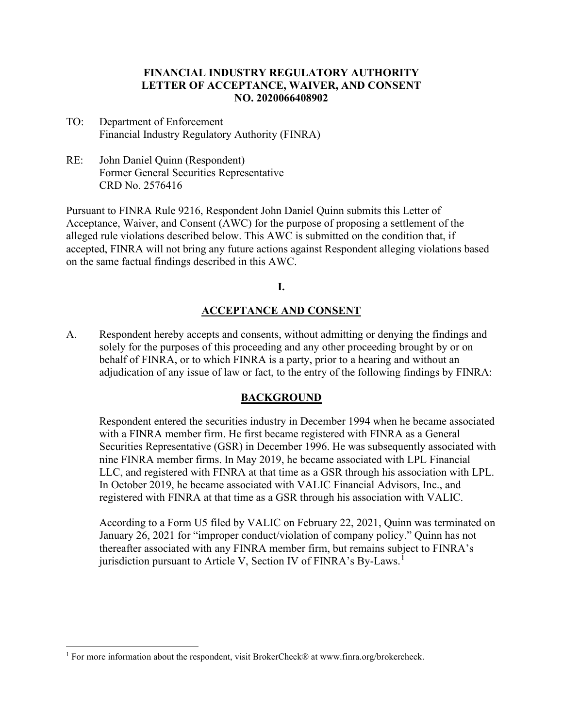### **FINANCIAL INDUSTRY REGULATORY AUTHORITY LETTER OF ACCEPTANCE, WAIVER, AND CONSENT NO. 2020066408902**

- TO: Department of Enforcement Financial Industry Regulatory Authority (FINRA)
- RE: John Daniel Quinn (Respondent) Former General Securities Representative CRD No. 2576416

Pursuant to FINRA Rule 9216, Respondent John Daniel Quinn submits this Letter of Acceptance, Waiver, and Consent (AWC) for the purpose of proposing a settlement of the alleged rule violations described below. This AWC is submitted on the condition that, if accepted, FINRA will not bring any future actions against Respondent alleging violations based on the same factual findings described in this AWC.

**I.**

## **ACCEPTANCE AND CONSENT**

A. Respondent hereby accepts and consents, without admitting or denying the findings and solely for the purposes of this proceeding and any other proceeding brought by or on behalf of FINRA, or to which FINRA is a party, prior to a hearing and without an adjudication of any issue of law or fact, to the entry of the following findings by FINRA:

### **BACKGROUND**

Respondent entered the securities industry in December 1994 when he became associated with a FINRA member firm. He first became registered with FINRA as a General Securities Representative (GSR) in December 1996. He was subsequently associated with nine FINRA member firms. In May 2019, he became associated with LPL Financial LLC, and registered with FINRA at that time as a GSR through his association with LPL. In October 2019, he became associated with VALIC Financial Advisors, Inc., and registered with FINRA at that time as a GSR through his association with VALIC.

According to a Form U5 filed by VALIC on February 22, 2021, Quinn was terminated on January 26, 2021 for "improper conduct/violation of company policy." Quinn has not thereafter associated with any FINRA member firm, but remains subject to FINRA's jurisdiction pursuant to Article V, Section IV of FINRA's By-Laws.<sup>1</sup>

<sup>&</sup>lt;sup>1</sup> For more information about the respondent, visit BrokerCheck® at www.finra.org/brokercheck.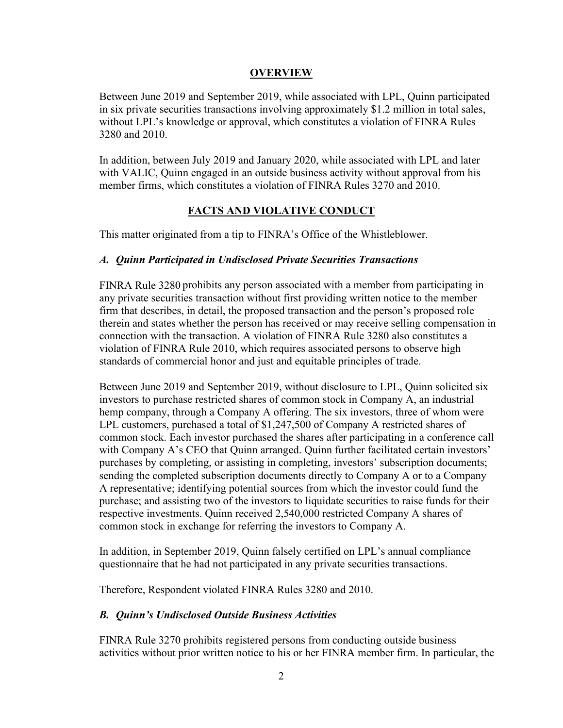### **OVERVIEW**

Between June 2019 and September 2019, while associated with LPL, Quinn participated in six private securities transactions involving approximately \$1.2 million in total sales, without LPL's knowledge or approval, which constitutes a violation of FINRA Rules 3280 and 2010.

In addition, between July 2019 and January 2020, while associated with LPL and later with VALIC, Quinn engaged in an outside business activity without approval from his member firms, which constitutes a violation of FINRA Rules 3270 and 2010.

#### **FACTS AND VIOLATIVE CONDUCT**

This matter originated from a tip to FINRA's Office of the Whistleblower.

### *A. Quinn Participated in Undisclosed Private Securities Transactions*

FINRA Rule 3280 prohibits any person associated with a member from participating in any private securities transaction without first providing written notice to the member firm that describes, in detail, the proposed transaction and the person's proposed role therein and states whether the person has received or may receive selling compensation in connection with the transaction. A violation of FINRA Rule 3280 also constitutes a violation of FINRA Rule 2010, which requires associated persons to observe high standards of commercial honor and just and equitable principles of trade.

Between June 2019 and September 2019, without disclosure to LPL, Quinn solicited six investors to purchase restricted shares of common stock in Company A, an industrial hemp company, through a Company A offering. The six investors, three of whom were LPL customers, purchased a total of \$1,247,500 of Company A restricted shares of common stock. Each investor purchased the shares after participating in a conference call with Company A's CEO that Quinn arranged. Quinn further facilitated certain investors' purchases by completing, or assisting in completing, investors' subscription documents; sending the completed subscription documents directly to Company A or to a Company A representative; identifying potential sources from which the investor could fund the purchase; and assisting two of the investors to liquidate securities to raise funds for their respective investments. Quinn received 2,540,000 restricted Company A shares of common stock in exchange for referring the investors to Company A.

In addition, in September 2019, Quinn falsely certified on LPL's annual compliance questionnaire that he had not participated in any private securities transactions.

Therefore, Respondent violated FINRA Rules 3280 and 2010.

### *B. Quinn's Undisclosed Outside Business Activities*

FINRA Rule 3270 prohibits registered persons from conducting outside business activities without prior written notice to his or her FINRA member firm. In particular, the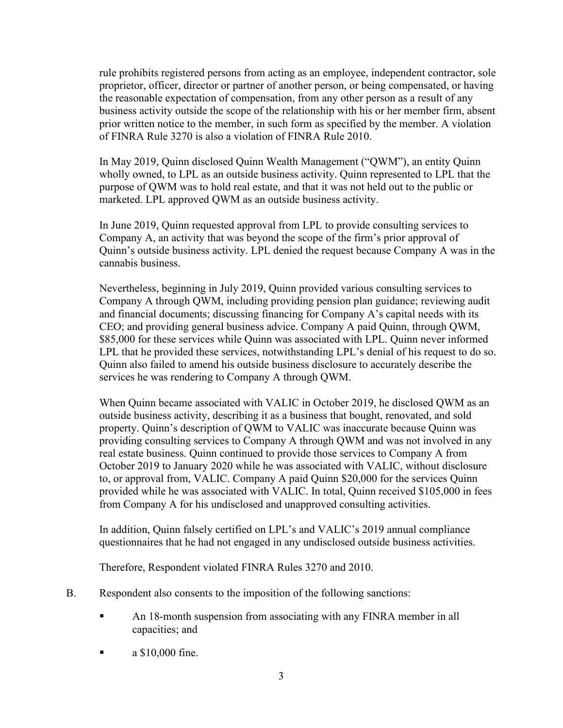rule prohibits registered persons from acting as an employee, independent contractor, sole proprietor, officer, director or partner of another person, or being compensated, or having the reasonable expectation of compensation, from any other person as a result of any business activity outside the scope of the relationship with his or her member firm, absent prior written notice to the member, in such form as specified by the member. A violation of FINRA Rule 3270 is also a violation of FINRA Rule 2010.

In May 2019, Quinn disclosed Quinn Wealth Management ("QWM"), an entity Quinn wholly owned, to LPL as an outside business activity. Quinn represented to LPL that the purpose of QWM was to hold real estate, and that it was not held out to the public or marketed. LPL approved QWM as an outside business activity.

In June 2019, Quinn requested approval from LPL to provide consulting services to Company A, an activity that was beyond the scope of the firm's prior approval of Quinn's outside business activity. LPL denied the request because Company A was in the cannabis business.

Nevertheless, beginning in July 2019, Quinn provided various consulting services to Company A through QWM, including providing pension plan guidance; reviewing audit and financial documents; discussing financing for Company A's capital needs with its CEO; and providing general business advice. Company A paid Quinn, through QWM, \$85,000 for these services while Quinn was associated with LPL. Quinn never informed LPL that he provided these services, notwithstanding LPL's denial of his request to do so. Quinn also failed to amend his outside business disclosure to accurately describe the services he was rendering to Company A through QWM.

When Quinn became associated with VALIC in October 2019, he disclosed QWM as an outside business activity, describing it as a business that bought, renovated, and sold property. Quinn's description of QWM to VALIC was inaccurate because Quinn was providing consulting services to Company A through QWM and was not involved in any real estate business. Quinn continued to provide those services to Company A from October 2019 to January 2020 while he was associated with VALIC, without disclosure to, or approval from, VALIC. Company A paid Quinn \$20,000 for the services Quinn provided while he was associated with VALIC. In total, Quinn received \$105,000 in fees from Company A for his undisclosed and unapproved consulting activities.

In addition, Quinn falsely certified on LPL's and VALIC's 2019 annual compliance questionnaires that he had not engaged in any undisclosed outside business activities.

Therefore, Respondent violated FINRA Rules 3270 and 2010.

- B. Respondent also consents to the imposition of the following sanctions:
	- An 18-month suspension from associating with any FINRA member in all capacities; and
	- $\blacksquare$  a \$10,000 fine.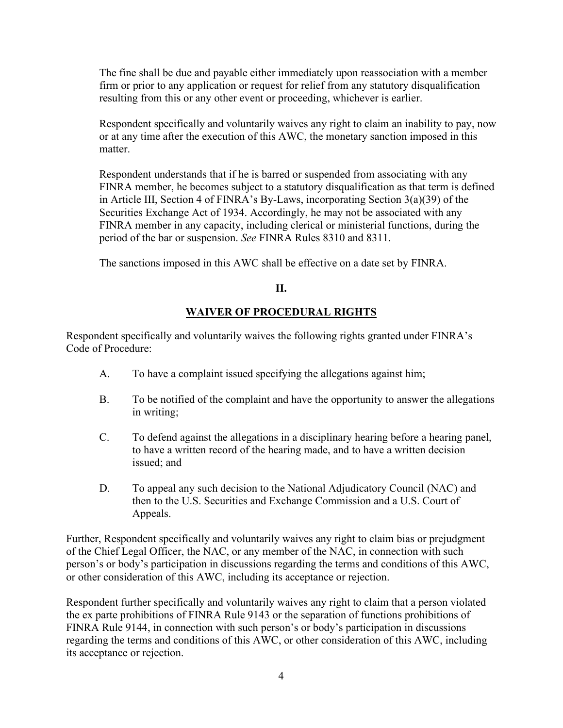The fine shall be due and payable either immediately upon reassociation with a member firm or prior to any application or request for relief from any statutory disqualification resulting from this or any other event or proceeding, whichever is earlier.

Respondent specifically and voluntarily waives any right to claim an inability to pay, now or at any time after the execution of this AWC, the monetary sanction imposed in this matter.

Respondent understands that if he is barred or suspended from associating with any FINRA member, he becomes subject to a statutory disqualification as that term is defined in Article III, Section 4 of FINRA's By-Laws, incorporating Section 3(a)(39) of the Securities Exchange Act of 1934. Accordingly, he may not be associated with any FINRA member in any capacity, including clerical or ministerial functions, during the period of the bar or suspension. *See* FINRA Rules 8310 and 8311.

The sanctions imposed in this AWC shall be effective on a date set by FINRA.

# **II.**

# **WAIVER OF PROCEDURAL RIGHTS**

Respondent specifically and voluntarily waives the following rights granted under FINRA's Code of Procedure:

- A. To have a complaint issued specifying the allegations against him;
- B. To be notified of the complaint and have the opportunity to answer the allegations in writing;
- C. To defend against the allegations in a disciplinary hearing before a hearing panel, to have a written record of the hearing made, and to have a written decision issued; and
- D. To appeal any such decision to the National Adjudicatory Council (NAC) and then to the U.S. Securities and Exchange Commission and a U.S. Court of Appeals.

Further, Respondent specifically and voluntarily waives any right to claim bias or prejudgment of the Chief Legal Officer, the NAC, or any member of the NAC, in connection with such person's or body's participation in discussions regarding the terms and conditions of this AWC, or other consideration of this AWC, including its acceptance or rejection.

Respondent further specifically and voluntarily waives any right to claim that a person violated the ex parte prohibitions of FINRA Rule 9143 or the separation of functions prohibitions of FINRA Rule 9144, in connection with such person's or body's participation in discussions regarding the terms and conditions of this AWC, or other consideration of this AWC, including its acceptance or rejection.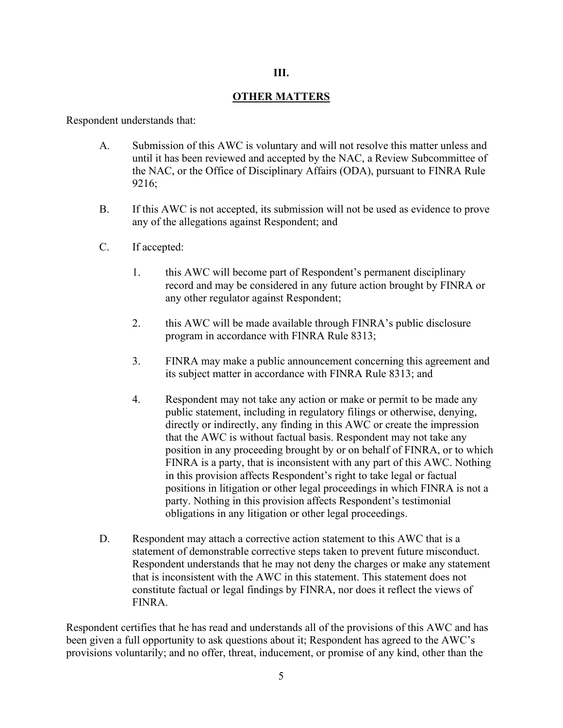#### **III.**

### **OTHER MATTERS**

Respondent understands that:

- A. Submission of this AWC is voluntary and will not resolve this matter unless and until it has been reviewed and accepted by the NAC, a Review Subcommittee of the NAC, or the Office of Disciplinary Affairs (ODA), pursuant to FINRA Rule 9216;
- B. If this AWC is not accepted, its submission will not be used as evidence to prove any of the allegations against Respondent; and
- C. If accepted:
	- 1. this AWC will become part of Respondent's permanent disciplinary record and may be considered in any future action brought by FINRA or any other regulator against Respondent;
	- 2. this AWC will be made available through FINRA's public disclosure program in accordance with FINRA Rule 8313;
	- 3. FINRA may make a public announcement concerning this agreement and its subject matter in accordance with FINRA Rule 8313; and
	- 4. Respondent may not take any action or make or permit to be made any public statement, including in regulatory filings or otherwise, denying, directly or indirectly, any finding in this AWC or create the impression that the AWC is without factual basis. Respondent may not take any position in any proceeding brought by or on behalf of FINRA, or to which FINRA is a party, that is inconsistent with any part of this AWC. Nothing in this provision affects Respondent's right to take legal or factual positions in litigation or other legal proceedings in which FINRA is not a party. Nothing in this provision affects Respondent's testimonial obligations in any litigation or other legal proceedings.
- D. Respondent may attach a corrective action statement to this AWC that is a statement of demonstrable corrective steps taken to prevent future misconduct. Respondent understands that he may not deny the charges or make any statement that is inconsistent with the AWC in this statement. This statement does not constitute factual or legal findings by FINRA, nor does it reflect the views of FINRA.

Respondent certifies that he has read and understands all of the provisions of this AWC and has been given a full opportunity to ask questions about it; Respondent has agreed to the AWC's provisions voluntarily; and no offer, threat, inducement, or promise of any kind, other than the